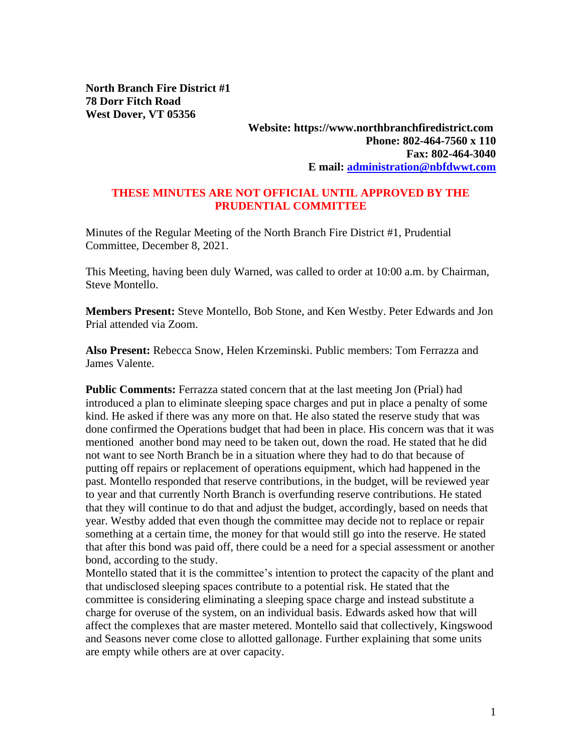**North Branch Fire District #1 78 Dorr Fitch Road West Dover, VT 05356**

## **Website: https://www.northbranchfiredistrict.com Phone: 802-464-7560 x 110 Fax: 802-464-3040 E mail: [administration@nbfdwwt.com](mailto:administration@nbfdwwt.com)**

## **THESE MINUTES ARE NOT OFFICIAL UNTIL APPROVED BY THE PRUDENTIAL COMMITTEE**

Minutes of the Regular Meeting of the North Branch Fire District #1, Prudential Committee, December 8, 2021.

This Meeting, having been duly Warned, was called to order at 10:00 a.m. by Chairman, Steve Montello.

**Members Present:** Steve Montello, Bob Stone, and Ken Westby. Peter Edwards and Jon Prial attended via Zoom.

**Also Present:** Rebecca Snow, Helen Krzeminski. Public members: Tom Ferrazza and James Valente.

**Public Comments:** Ferrazza stated concern that at the last meeting Jon (Prial) had introduced a plan to eliminate sleeping space charges and put in place a penalty of some kind. He asked if there was any more on that. He also stated the reserve study that was done confirmed the Operations budget that had been in place. His concern was that it was mentioned another bond may need to be taken out, down the road. He stated that he did not want to see North Branch be in a situation where they had to do that because of putting off repairs or replacement of operations equipment, which had happened in the past. Montello responded that reserve contributions, in the budget, will be reviewed year to year and that currently North Branch is overfunding reserve contributions. He stated that they will continue to do that and adjust the budget, accordingly, based on needs that year. Westby added that even though the committee may decide not to replace or repair something at a certain time, the money for that would still go into the reserve. He stated that after this bond was paid off, there could be a need for a special assessment or another bond, according to the study.

Montello stated that it is the committee's intention to protect the capacity of the plant and that undisclosed sleeping spaces contribute to a potential risk. He stated that the committee is considering eliminating a sleeping space charge and instead substitute a charge for overuse of the system, on an individual basis. Edwards asked how that will affect the complexes that are master metered. Montello said that collectively, Kingswood and Seasons never come close to allotted gallonage. Further explaining that some units are empty while others are at over capacity.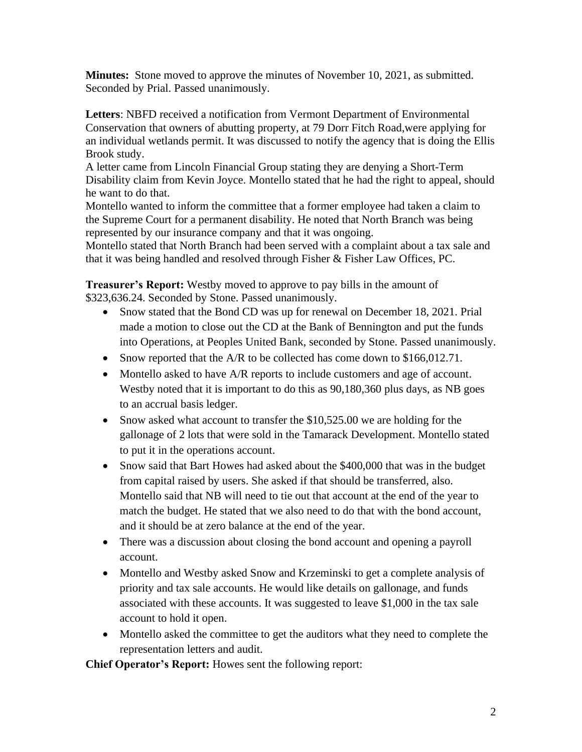**Minutes:** Stone moved to approve the minutes of November 10, 2021, as submitted. Seconded by Prial. Passed unanimously.

**Letters**: NBFD received a notification from Vermont Department of Environmental Conservation that owners of abutting property, at 79 Dorr Fitch Road,were applying for an individual wetlands permit. It was discussed to notify the agency that is doing the Ellis Brook study.

A letter came from Lincoln Financial Group stating they are denying a Short-Term Disability claim from Kevin Joyce. Montello stated that he had the right to appeal, should he want to do that.

Montello wanted to inform the committee that a former employee had taken a claim to the Supreme Court for a permanent disability. He noted that North Branch was being represented by our insurance company and that it was ongoing.

Montello stated that North Branch had been served with a complaint about a tax sale and that it was being handled and resolved through Fisher & Fisher Law Offices, PC.

**Treasurer's Report:** Westby moved to approve to pay bills in the amount of \$323,636.24. Seconded by Stone. Passed unanimously.

- Snow stated that the Bond CD was up for renewal on December 18, 2021. Prial made a motion to close out the CD at the Bank of Bennington and put the funds into Operations, at Peoples United Bank, seconded by Stone. Passed unanimously.
- Snow reported that the A/R to be collected has come down to \$166,012.71.
- Montello asked to have A/R reports to include customers and age of account. Westby noted that it is important to do this as 90,180,360 plus days, as NB goes to an accrual basis ledger.
- Snow asked what account to transfer the \$10,525.00 we are holding for the gallonage of 2 lots that were sold in the Tamarack Development. Montello stated to put it in the operations account.
- Snow said that Bart Howes had asked about the \$400,000 that was in the budget from capital raised by users. She asked if that should be transferred, also. Montello said that NB will need to tie out that account at the end of the year to match the budget. He stated that we also need to do that with the bond account, and it should be at zero balance at the end of the year.
- There was a discussion about closing the bond account and opening a payroll account.
- Montello and Westby asked Snow and Krzeminski to get a complete analysis of priority and tax sale accounts. He would like details on gallonage, and funds associated with these accounts. It was suggested to leave \$1,000 in the tax sale account to hold it open.
- Montello asked the committee to get the auditors what they need to complete the representation letters and audit.

**Chief Operator's Report:** Howes sent the following report: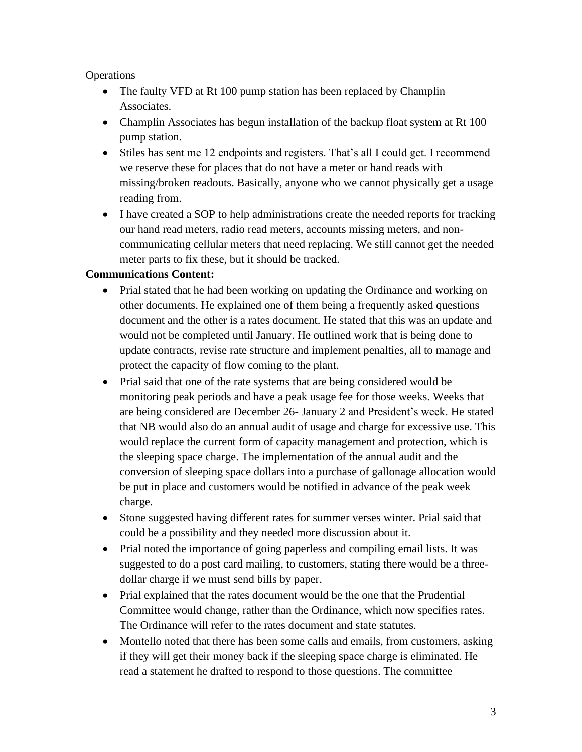## **Operations**

- The faulty VFD at Rt 100 pump station has been replaced by Champlin Associates.
- Champlin Associates has begun installation of the backup float system at Rt 100 pump station.
- Stiles has sent me 12 endpoints and registers. That's all I could get. I recommend we reserve these for places that do not have a meter or hand reads with missing/broken readouts. Basically, anyone who we cannot physically get a usage reading from.
- I have created a SOP to help administrations create the needed reports for tracking our hand read meters, radio read meters, accounts missing meters, and noncommunicating cellular meters that need replacing. We still cannot get the needed meter parts to fix these, but it should be tracked.

## **Communications Content:**

- Prial stated that he had been working on updating the Ordinance and working on other documents. He explained one of them being a frequently asked questions document and the other is a rates document. He stated that this was an update and would not be completed until January. He outlined work that is being done to update contracts, revise rate structure and implement penalties, all to manage and protect the capacity of flow coming to the plant.
- Prial said that one of the rate systems that are being considered would be monitoring peak periods and have a peak usage fee for those weeks. Weeks that are being considered are December 26- January 2 and President's week. He stated that NB would also do an annual audit of usage and charge for excessive use. This would replace the current form of capacity management and protection, which is the sleeping space charge. The implementation of the annual audit and the conversion of sleeping space dollars into a purchase of gallonage allocation would be put in place and customers would be notified in advance of the peak week charge.
- Stone suggested having different rates for summer verses winter. Prial said that could be a possibility and they needed more discussion about it.
- Prial noted the importance of going paperless and compiling email lists. It was suggested to do a post card mailing, to customers, stating there would be a threedollar charge if we must send bills by paper.
- Prial explained that the rates document would be the one that the Prudential Committee would change, rather than the Ordinance, which now specifies rates. The Ordinance will refer to the rates document and state statutes.
- Montello noted that there has been some calls and emails, from customers, asking if they will get their money back if the sleeping space charge is eliminated. He read a statement he drafted to respond to those questions. The committee